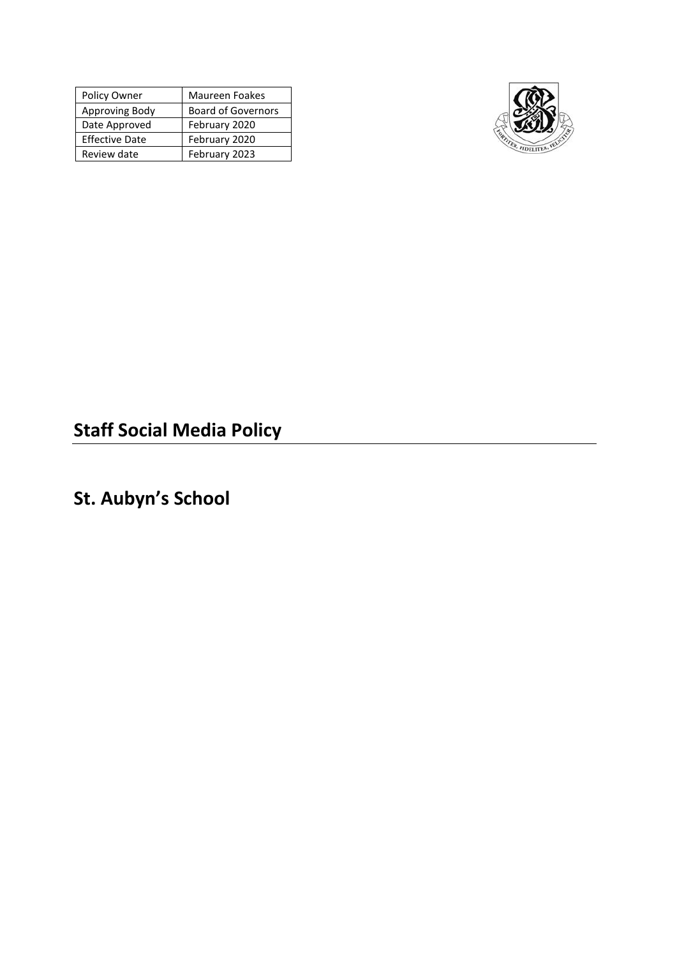| Policy Owner          | <b>Maureen Foakes</b>     |
|-----------------------|---------------------------|
| Approving Body        | <b>Board of Governors</b> |
| Date Approved         | February 2020             |
| <b>Effective Date</b> | February 2020             |
| Review date           | February 2023             |



## **Staff Social Media Policy**

## **St. Aubyn's School**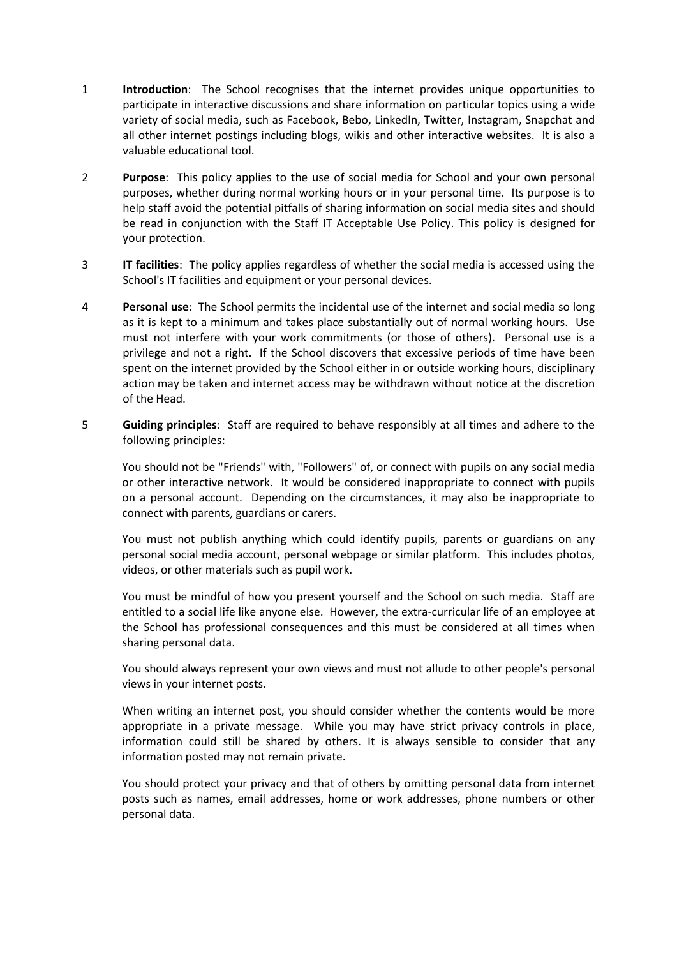- 1 **Introduction**: The School recognises that the internet provides unique opportunities to participate in interactive discussions and share information on particular topics using a wide variety of social media, such as Facebook, Bebo, LinkedIn, Twitter, Instagram, Snapchat and all other internet postings including blogs, wikis and other interactive websites. It is also a valuable educational tool.
- 2 **Purpose**: This policy applies to the use of social media for School and your own personal purposes, whether during normal working hours or in your personal time. Its purpose is to help staff avoid the potential pitfalls of sharing information on social media sites and should be read in conjunction with the Staff IT Acceptable Use Policy. This policy is designed for your protection.
- 3 **IT facilities**: The policy applies regardless of whether the social media is accessed using the School's IT facilities and equipment or your personal devices.
- 4 **Personal use**: The School permits the incidental use of the internet and social media so long as it is kept to a minimum and takes place substantially out of normal working hours. Use must not interfere with your work commitments (or those of others). Personal use is a privilege and not a right. If the School discovers that excessive periods of time have been spent on the internet provided by the School either in or outside working hours, disciplinary action may be taken and internet access may be withdrawn without notice at the discretion of the Head.
- 5 **Guiding principles**: Staff are required to behave responsibly at all times and adhere to the following principles:

You should not be "Friends" with, "Followers" of, or connect with pupils on any social media or other interactive network. It would be considered inappropriate to connect with pupils on a personal account. Depending on the circumstances, it may also be inappropriate to connect with parents, guardians or carers.

You must not publish anything which could identify pupils, parents or guardians on any personal social media account, personal webpage or similar platform. This includes photos, videos, or other materials such as pupil work.

You must be mindful of how you present yourself and the School on such media. Staff are entitled to a social life like anyone else. However, the extra-curricular life of an employee at the School has professional consequences and this must be considered at all times when sharing personal data.

You should always represent your own views and must not allude to other people's personal views in your internet posts.

When writing an internet post, you should consider whether the contents would be more appropriate in a private message. While you may have strict privacy controls in place, information could still be shared by others. It is always sensible to consider that any information posted may not remain private.

You should protect your privacy and that of others by omitting personal data from internet posts such as names, email addresses, home or work addresses, phone numbers or other personal data.